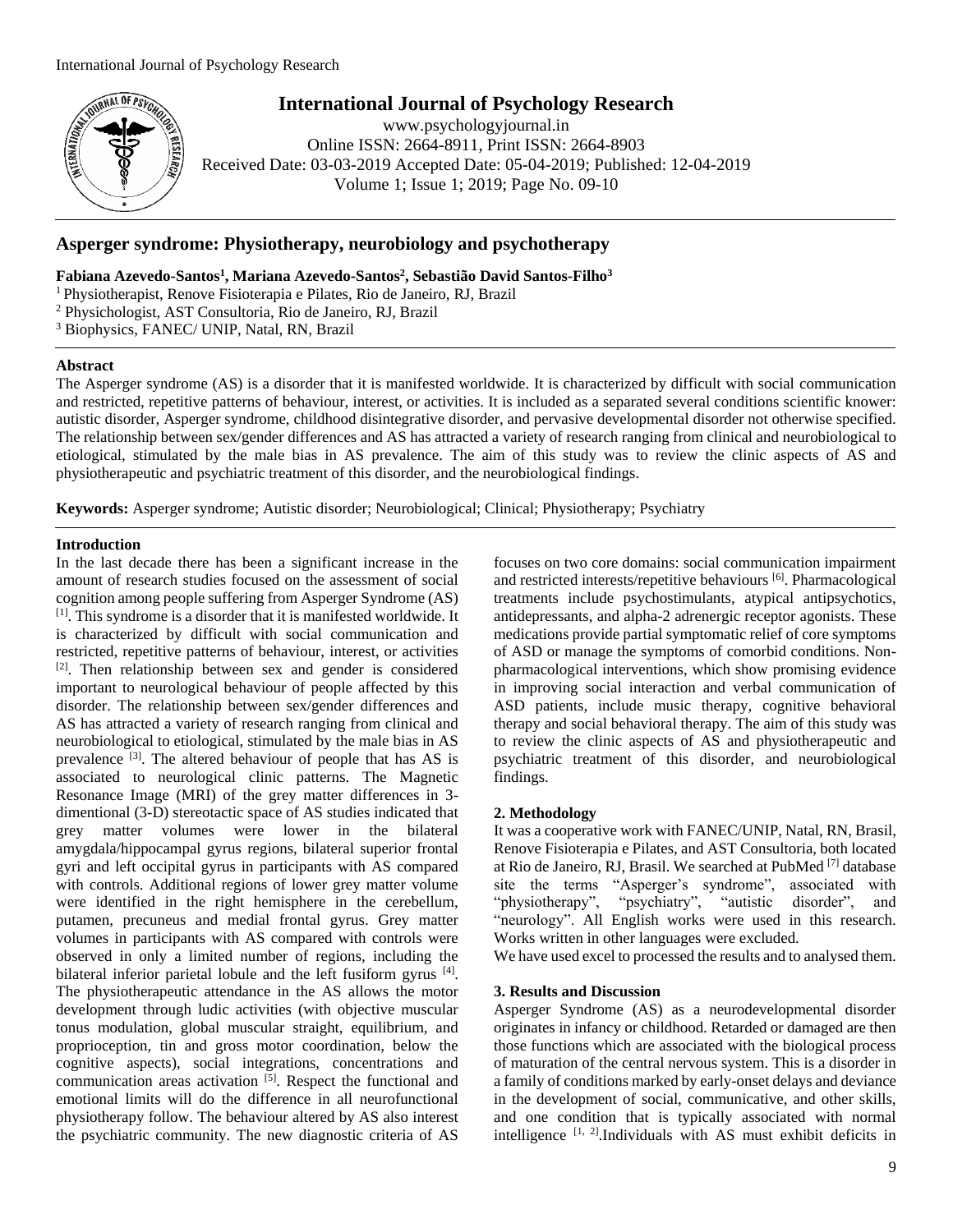

# **International Journal of Psychology Research**

www.psychologyjournal.in Online ISSN: 2664-8911, Print ISSN: 2664-8903 Received Date: 03-03-2019 Accepted Date: 05-04-2019; Published: 12-04-2019 Volume 1; Issue 1; 2019; Page No. 09-10

# **Asperger syndrome: Physiotherapy, neurobiology and psychotherapy**

**Fabiana Azevedo-Santos<sup>1</sup> , Mariana Azevedo-Santos<sup>2</sup> , Sebastião David Santos-Filho<sup>3</sup>**

<sup>1</sup>Physiotherapist, Renove Fisioterapia e Pilates, Rio de Janeiro, RJ, Brazil

<sup>2</sup> Physichologist, AST Consultoria, Rio de Janeiro, RJ, Brazil

<sup>3</sup> Biophysics, FANEC/ UNIP, Natal, RN, Brazil

#### **Abstract**

The Asperger syndrome (AS) is a disorder that it is manifested worldwide. It is characterized by difficult with social communication and restricted, repetitive patterns of behaviour, interest, or activities. It is included as a separated several conditions scientific knower: autistic disorder, Asperger syndrome, childhood disintegrative disorder, and pervasive developmental disorder not otherwise specified. The relationship between sex/gender differences and AS has attracted a variety of research ranging from clinical and neurobiological to etiological, stimulated by the male bias in AS prevalence. The aim of this study was to review the clinic aspects of AS and physiotherapeutic and psychiatric treatment of this disorder, and the neurobiological findings.

**Keywords:** Asperger syndrome; Autistic disorder; Neurobiological; Clinical; Physiotherapy; Psychiatry

#### **Introduction**

In the last decade there has been a significant increase in the amount of research studies focused on the assessment of social cognition among people suffering from Asperger Syndrome (AS) [1]. This syndrome is a disorder that it is manifested worldwide. It is characterized by difficult with social communication and restricted, repetitive patterns of behaviour, interest, or activities [2]. Then relationship between sex and gender is considered important to neurological behaviour of people affected by this disorder. The relationship between sex/gender differences and AS has attracted a variety of research ranging from clinical and neurobiological to etiological, stimulated by the male bias in AS prevalence <sup>[3]</sup>. The altered behaviour of people that has AS is associated to neurological clinic patterns. The Magnetic Resonance Image (MRI) of the grey matter differences in 3 dimentional (3-D) stereotactic space of AS studies indicated that grey matter volumes were lower in the bilateral amygdala/hippocampal gyrus regions, bilateral superior frontal gyri and left occipital gyrus in participants with AS compared with controls. Additional regions of lower grey matter volume were identified in the right hemisphere in the cerebellum, putamen, precuneus and medial frontal gyrus. Grey matter volumes in participants with AS compared with controls were observed in only a limited number of regions, including the bilateral inferior parietal lobule and the left fusiform gyrus [4]. The physiotherapeutic attendance in the AS allows the motor development through ludic activities (with objective muscular tonus modulation, global muscular straight, equilibrium, and proprioception, tin and gross motor coordination, below the cognitive aspects), social integrations, concentrations and communication areas activation <sup>[5]</sup>. Respect the functional and emotional limits will do the difference in all neurofunctional physiotherapy follow. The behaviour altered by AS also interest the psychiatric community. The new diagnostic criteria of AS

focuses on two core domains: social communication impairment and restricted interests/repetitive behaviours [6]. Pharmacological treatments include psychostimulants, atypical antipsychotics, antidepressants, and alpha-2 adrenergic receptor agonists. These medications provide partial symptomatic relief of core symptoms of ASD or manage the symptoms of comorbid conditions. Nonpharmacological interventions, which show promising evidence in improving social interaction and verbal communication of ASD patients, include music therapy, cognitive behavioral therapy and social behavioral therapy. The aim of this study was to review the clinic aspects of AS and physiotherapeutic and psychiatric treatment of this disorder, and neurobiological findings.

## **2. Methodology**

It was a cooperative work with FANEC/UNIP, Natal, RN, Brasil, Renove Fisioterapia e Pilates, and AST Consultoria, both located at Rio de Janeiro, RJ, Brasil. We searched at PubMed [7] database site the terms "Asperger's syndrome", associated with "physiotherapy", "psychiatry", "autistic disorder", and "neurology". All English works were used in this research. Works written in other languages were excluded.

We have used excel to processed the results and to analysed them.

#### **3. Results and Discussion**

Asperger Syndrome (AS) as a neurodevelopmental disorder originates in infancy or childhood. Retarded or damaged are then those functions which are associated with the biological process of maturation of the central nervous system. This is a disorder in a family of conditions marked by early-onset delays and deviance in the development of social, communicative, and other skills, and one condition that is typically associated with normal intelligence  $[1, 2]$ .Individuals with AS must exhibit deficits in